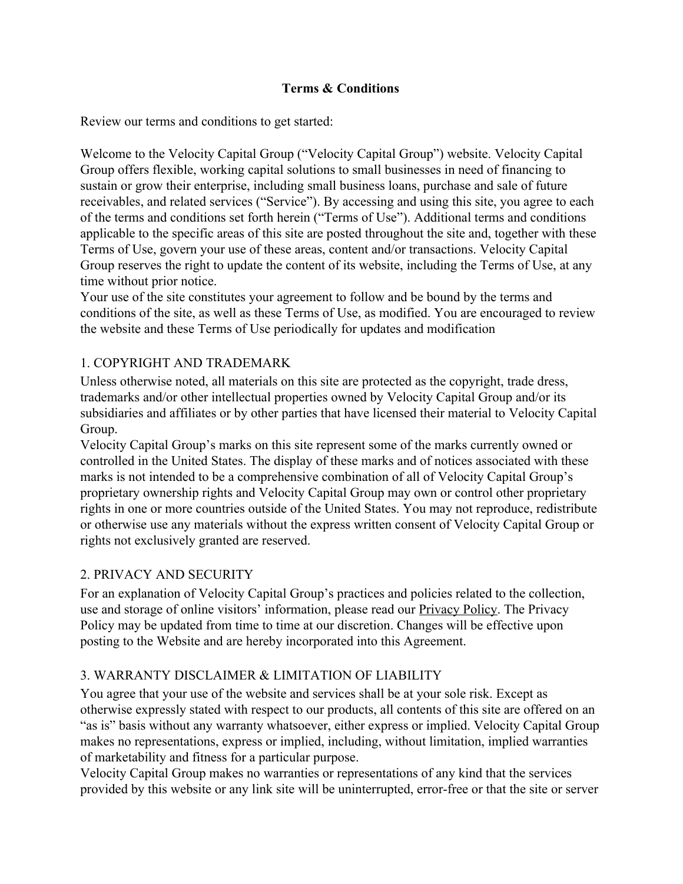### **Terms & Conditions**

Review our terms and conditions to get started:

Welcome to the Velocity Capital Group ("Velocity Capital Group") website. Velocity Capital Group offers flexible, working capital solutions to small businesses in need of financing to sustain or grow their enterprise, including small business loans, purchase and sale of future receivables, and related services ("Service"). By accessing and using this site, you agree to each of the terms and conditions set forth herein ("Terms of Use"). Additional terms and conditions applicable to the specific areas of this site are posted throughout the site and, together with these Terms of Use, govern your use of these areas, content and/or transactions. Velocity Capital Group reserves the right to update the content of its website, including the Terms of Use, at any time without prior notice.

Your use of the site constitutes your agreement to follow and be bound by the terms and conditions of the site, as well as these Terms of Use, as modified. You are encouraged to review the website and these Terms of Use periodically for updates and modification

### 1. COPYRIGHT AND TRADEMARK

Unless otherwise noted, all materials on this site are protected as the copyright, trade dress, trademarks and/or other intellectual properties owned by Velocity Capital Group and/or its subsidiaries and affiliates or by other parties that have licensed their material to Velocity Capital Group.

Velocity Capital Group's marks on this site represent some of the marks currently owned or controlled in the United States. The display of these marks and of notices associated with these marks is not intended to be a comprehensive combination of all of Velocity Capital Group's proprietary ownership rights and Velocity Capital Group may own or control other proprietary rights in one or more countries outside of the United States. You may not reproduce, redistribute or otherwise use any materials without the express written consent of Velocity Capital Group or rights not exclusively granted are reserved.

### 2. PRIVACY AND SECURITY

For an explanation of Velocity Capital Group's practices and policies related to the collection, use and storage of online visitors' information, please read our [Privacy Policy.](https://www.forafinancial.com/privacy-policy/) The Privacy Policy may be updated from time to time at our discretion. Changes will be effective upon posting to the Website and are hereby incorporated into this Agreement.

### 3. WARRANTY DISCLAIMER & LIMITATION OF LIABILITY

You agree that your use of the website and services shall be at your sole risk. Except as otherwise expressly stated with respect to our products, all contents of this site are offered on an "as is" basis without any warranty whatsoever, either express or implied. Velocity Capital Group makes no representations, express or implied, including, without limitation, implied warranties of marketability and fitness for a particular purpose.

Velocity Capital Group makes no warranties or representations of any kind that the services provided by this website or any link site will be uninterrupted, error-free or that the site or server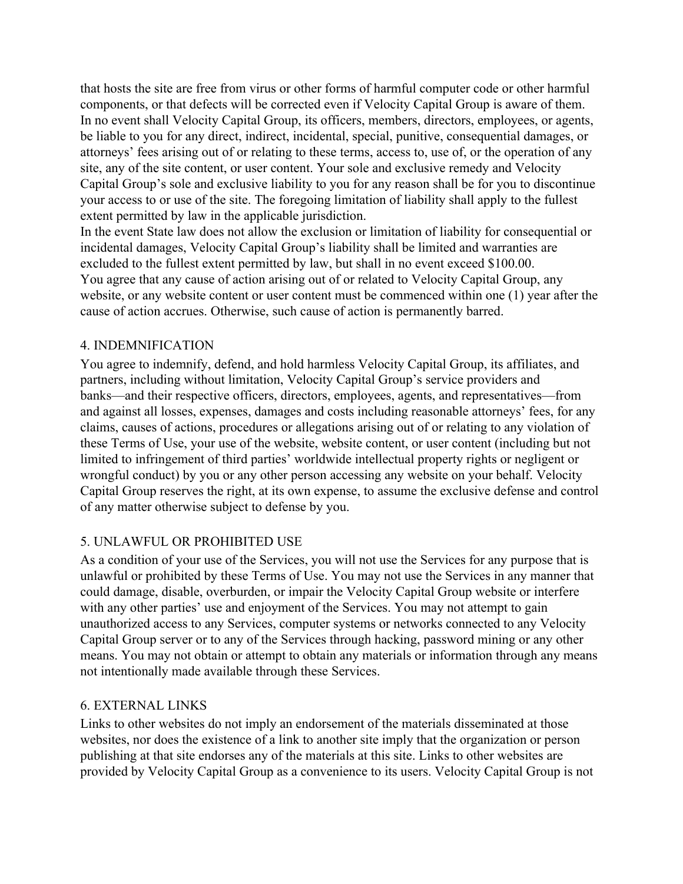that hosts the site are free from virus or other forms of harmful computer code or other harmful components, or that defects will be corrected even if Velocity Capital Group is aware of them. In no event shall Velocity Capital Group, its officers, members, directors, employees, or agents, be liable to you for any direct, indirect, incidental, special, punitive, consequential damages, or attorneys' fees arising out of or relating to these terms, access to, use of, or the operation of any site, any of the site content, or user content. Your sole and exclusive remedy and Velocity Capital Group's sole and exclusive liability to you for any reason shall be for you to discontinue your access to or use of the site. The foregoing limitation of liability shall apply to the fullest extent permitted by law in the applicable jurisdiction.

In the event State law does not allow the exclusion or limitation of liability for consequential or incidental damages, Velocity Capital Group's liability shall be limited and warranties are excluded to the fullest extent permitted by law, but shall in no event exceed \$100.00. You agree that any cause of action arising out of or related to Velocity Capital Group, any website, or any website content or user content must be commenced within one (1) year after the cause of action accrues. Otherwise, such cause of action is permanently barred.

#### 4. INDEMNIFICATION

You agree to indemnify, defend, and hold harmless Velocity Capital Group, its affiliates, and partners, including without limitation, Velocity Capital Group's service providers and banks—and their respective officers, directors, employees, agents, and representatives—from and against all losses, expenses, damages and costs including reasonable attorneys' fees, for any claims, causes of actions, procedures or allegations arising out of or relating to any violation of these Terms of Use, your use of the website, website content, or user content (including but not limited to infringement of third parties' worldwide intellectual property rights or negligent or wrongful conduct) by you or any other person accessing any website on your behalf. Velocity Capital Group reserves the right, at its own expense, to assume the exclusive defense and control of any matter otherwise subject to defense by you.

### 5. UNLAWFUL OR PROHIBITED USE

As a condition of your use of the Services, you will not use the Services for any purpose that is unlawful or prohibited by these Terms of Use. You may not use the Services in any manner that could damage, disable, overburden, or impair the Velocity Capital Group website or interfere with any other parties' use and enjoyment of the Services. You may not attempt to gain unauthorized access to any Services, computer systems or networks connected to any Velocity Capital Group server or to any of the Services through hacking, password mining or any other means. You may not obtain or attempt to obtain any materials or information through any means not intentionally made available through these Services.

#### 6. EXTERNAL LINKS

Links to other websites do not imply an endorsement of the materials disseminated at those websites, nor does the existence of a link to another site imply that the organization or person publishing at that site endorses any of the materials at this site. Links to other websites are provided by Velocity Capital Group as a convenience to its users. Velocity Capital Group is not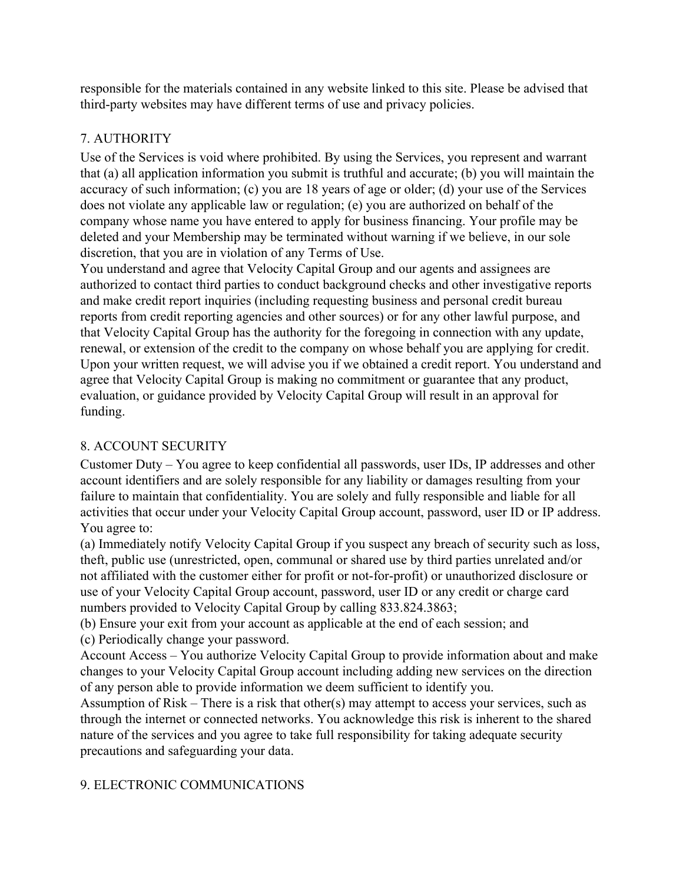responsible for the materials contained in any website linked to this site. Please be advised that third-party websites may have different terms of use and privacy policies.

# 7. AUTHORITY

Use of the Services is void where prohibited. By using the Services, you represent and warrant that (a) all application information you submit is truthful and accurate; (b) you will maintain the accuracy of such information; (c) you are 18 years of age or older; (d) your use of the Services does not violate any applicable law or regulation; (e) you are authorized on behalf of the company whose name you have entered to apply for business financing. Your profile may be deleted and your Membership may be terminated without warning if we believe, in our sole discretion, that you are in violation of any Terms of Use.

You understand and agree that Velocity Capital Group and our agents and assignees are authorized to contact third parties to conduct background checks and other investigative reports and make credit report inquiries (including requesting business and personal credit bureau reports from credit reporting agencies and other sources) or for any other lawful purpose, and that Velocity Capital Group has the authority for the foregoing in connection with any update, renewal, or extension of the credit to the company on whose behalf you are applying for credit. Upon your written request, we will advise you if we obtained a credit report. You understand and agree that Velocity Capital Group is making no commitment or guarantee that any product, evaluation, or guidance provided by Velocity Capital Group will result in an approval for funding.

## 8. ACCOUNT SECURITY

Customer Duty – You agree to keep confidential all passwords, user IDs, IP addresses and other account identifiers and are solely responsible for any liability or damages resulting from your failure to maintain that confidentiality. You are solely and fully responsible and liable for all activities that occur under your Velocity Capital Group account, password, user ID or IP address. You agree to:

(a) Immediately notify Velocity Capital Group if you suspect any breach of security such as loss, theft, public use (unrestricted, open, communal or shared use by third parties unrelated and/or not affiliated with the customer either for profit or not-for-profit) or unauthorized disclosure or use of your Velocity Capital Group account, password, user ID or any credit or charge card numbers provided to Velocity Capital Group by calling 833.824.3863;

(b) Ensure your exit from your account as applicable at the end of each session; and

(c) Periodically change your password.

Account Access – You authorize Velocity Capital Group to provide information about and make changes to your Velocity Capital Group account including adding new services on the direction of any person able to provide information we deem sufficient to identify you.

Assumption of Risk – There is a risk that other(s) may attempt to access your services, such as through the internet or connected networks. You acknowledge this risk is inherent to the shared nature of the services and you agree to take full responsibility for taking adequate security precautions and safeguarding your data.

### 9. ELECTRONIC COMMUNICATIONS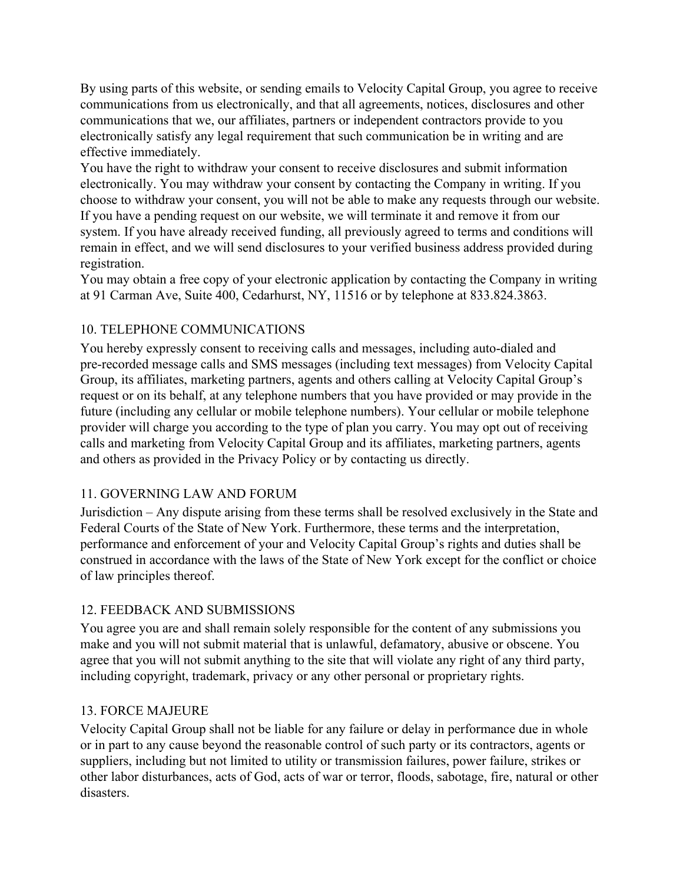By using parts of this website, or sending emails to Velocity Capital Group, you agree to receive communications from us electronically, and that all agreements, notices, disclosures and other communications that we, our affiliates, partners or independent contractors provide to you electronically satisfy any legal requirement that such communication be in writing and are effective immediately.

You have the right to withdraw your consent to receive disclosures and submit information electronically. You may withdraw your consent by contacting the Company in writing. If you choose to withdraw your consent, you will not be able to make any requests through our website. If you have a pending request on our website, we will terminate it and remove it from our system. If you have already received funding, all previously agreed to terms and conditions will remain in effect, and we will send disclosures to your verified business address provided during registration.

You may obtain a free copy of your electronic application by contacting the Company in writing at 91 Carman Ave, Suite 400, Cedarhurst, NY, 11516 or by telephone at 833.824.3863.

### 10. TELEPHONE COMMUNICATIONS

You hereby expressly consent to receiving calls and messages, including auto-dialed and pre-recorded message calls and SMS messages (including text messages) from Velocity Capital Group, its affiliates, marketing partners, agents and others calling at Velocity Capital Group's request or on its behalf, at any telephone numbers that you have provided or may provide in the future (including any cellular or mobile telephone numbers). Your cellular or mobile telephone provider will charge you according to the type of plan you carry. You may opt out of receiving calls and marketing from Velocity Capital Group and its affiliates, marketing partners, agents and others as provided in the Privacy Policy or by contacting us directly.

### 11. GOVERNING LAW AND FORUM

Jurisdiction – Any dispute arising from these terms shall be resolved exclusively in the State and Federal Courts of the State of New York. Furthermore, these terms and the interpretation, performance and enforcement of your and Velocity Capital Group's rights and duties shall be construed in accordance with the laws of the State of New York except for the conflict or choice of law principles thereof.

### 12. FEEDBACK AND SUBMISSIONS

You agree you are and shall remain solely responsible for the content of any submissions you make and you will not submit material that is unlawful, defamatory, abusive or obscene. You agree that you will not submit anything to the site that will violate any right of any third party, including copyright, trademark, privacy or any other personal or proprietary rights.

### 13. FORCE MAJEURE

Velocity Capital Group shall not be liable for any failure or delay in performance due in whole or in part to any cause beyond the reasonable control of such party or its contractors, agents or suppliers, including but not limited to utility or transmission failures, power failure, strikes or other labor disturbances, acts of God, acts of war or terror, floods, sabotage, fire, natural or other disasters.